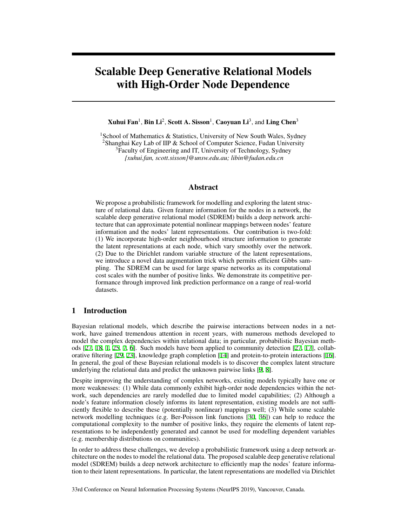# Scalable Deep Generative Relational Models with High-Order Node Dependence

## $X$ uhui Fan $^1$ , Bin Li $^2$ , Scott A. Sisson $^1$ , Caoyuan Li $^3$ , and Ling Chen $^3$

<sup>1</sup>School of Mathematics & Statistics, University of New South Wales, Sydney <sup>2</sup>Shanghai Key Lab of IIP & School of Computer Science, Fudan University <sup>3</sup>Faculty of Engineering and IT, University of Technology, Sydney *{xuhui.fan, scott.sisson}@unsw.edu.au; libin@fudan.edu.cn*

## Abstract

We propose a probabilistic framework for modelling and exploring the latent structure of relational data. Given feature information for the nodes in a network, the scalable deep generative relational model (SDREM) builds a deep network architecture that can approximate potential nonlinear mappings between nodes' feature information and the nodes' latent representations. Our contribution is two-fold: (1) We incorporate high-order neighbourhood structure information to generate the latent representations at each node, which vary smoothly over the network. (2) Due to the Dirichlet random variable structure of the latent representations, we introduce a novel data augmentation trick which permits efficient Gibbs sampling. The SDREM can be used for large sparse networks as its computational cost scales with the number of positive links. We demonstrate its competitive performance through improved link prediction performance on a range of real-world datasets.

# 1 Introduction

Bayesian relational models, which describe the pairwise interactions between nodes in a network, have gained tremendous attention in recent years, with numerous methods developed to model the complex dependencies within relational data; in particular, probabilistic Bayesian methods [27, 18, 1, 25, 7, 6]. Such models have been applied to community detection [27, 17], collaborative filtering [29, 23], knowledge graph completion [14] and protein-to-protein interactions [16]. In general, the goal of these Bayesian relational models is to discover the complex latent structure underlying the relational data and predict the unknown pairwise links [9, 8].

Despite improving the understanding of complex networks, existing models typically have one or more weaknesses: (1) While data commonly exhibit high-order node dependencies within the network, such dependencies are rarely modelled due to limited model capabilities; (2) Although a node's feature information closely informs its latent representation, existing models are not sufficiently flexible to describe these (potentially nonlinear) mappings well; (3) While some scalable network modelling techniques (e.g. Ber-Poisson link functions [30, 36]) can help to reduce the computational complexity to the number of positive links, they require the elements of latent representations to be independently generated and cannot be used for modelling dependent variables (e.g. membership distributions on communities).

In order to address these challenges, we develop a probabilistic framework using a deep network architecture on the nodes to model the relational data. The proposed scalable deep generative relational model (SDREM) builds a deep network architecture to efficiently map the nodes' feature information to their latent representations. In particular, the latent representations are modelled via Dirichlet

33rd Conference on Neural Information Processing Systems (NeurIPS 2019), Vancouver, Canada.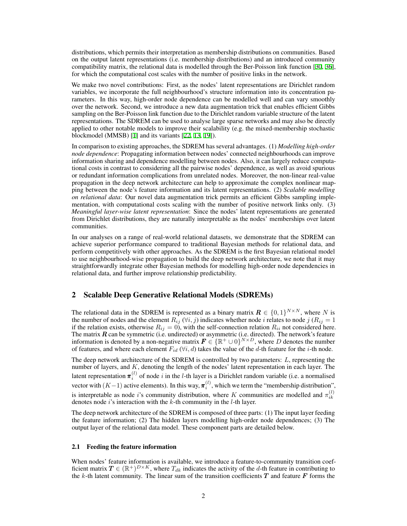distributions, which permits their interpretation as membership distributions on communities. Based on the output latent representations (i.e. membership distributions) and an introduced community compatibility matrix, the relational data is modelled through the Ber-Poisson link function [30, 36], for which the computational cost scales with the number of positive links in the network.

We make two novel contributions: First, as the nodes' latent representations are Dirichlet random variables, we incorporate the full neighbourhood's structure information into its concentration parameters. In this way, high-order node dependence can be modelled well and can vary smoothly over the network. Second, we introduce a new data augmentation trick that enables efficient Gibbs sampling on the Ber-Poisson link function due to the Dirichlet random variable structure of the latent representations. The SDREM can be used to analyse large sparse networks and may also be directly applied to other notable models to improve their scalability (e.g. the mixed-membership stochastic blockmodel (MMSB) [1] and its variants [22, 13, 19]).

In comparison to existing approaches, the SDREM has several advantages. (1) *Modelling high-order node dependence*: Propagating information between nodes' connected neighbourhoods can improve information sharing and dependence modelling between nodes. Also, it can largely reduce computational costs in contrast to considering all the pairwise nodes' dependence, as well as avoid spurious or redundant information complications from unrelated nodes. Moreover, the non-linear real-value propagation in the deep network architecture can help to approximate the complex nonlinear mapping between the node's feature information and its latent representations. (2) *Scalable modelling on relational data*: Our novel data augmentation trick permits an efficient Gibbs sampling implementation, with computational costs scaling with the number of positive network links only. (3) *Meaningful layer-wise latent representation*: Since the nodes' latent representations are generated from Dirichlet distributions, they are naturally interpretable as the nodes' memberships over latent communities.

In our analyses on a range of real-world relational datasets, we demonstrate that the SDREM can achieve superior performance compared to traditional Bayesian methods for relational data, and perform competitively with other approaches. As the SDREM is the first Bayesian relational model to use neighbourhood-wise propagation to build the deep network architecture, we note that it may straightforwardly integrate other Bayesian methods for modelling high-order node dependencies in relational data, and further improve relationship predictability.

## 2 Scalable Deep Generative Relational Models (SDREMs)

The relational data in the SDREM is represented as a binary matrix  $\mathbf{R} \in \{0,1\}^{N \times N}$ , where *N* is the number of nodes and the element  $R_{ij}$  ( $\forall i, j$ ) indicates whether node *i* relates to node *j* ( $R_{ij} = 1$ ) if the relation exists, otherwise  $R_{ij} = 0$ , with the self-connection relation  $R_{ii}$  not considered here. The matrix *R* can be symmetric (i.e. undirected) or asymmetric (i.e. directed). The network's feature information is denoted by a non-negative matrix  $\bm{F} \in \{\mathbb{R}^+ \cup 0\}^{N \times D}$ , where  $D$  denotes the number of features, and where each element  $F_{id}$  ( $\forall i, d$ ) takes the value of the *d*-th feature for the *i*-th node.

The deep network architecture of the SDREM is controlled by two parameters: *L*, representing the number of layers, and *K*, denoting the length of the nodes' latent representation in each layer. The latent representation  $\pi_i^{(l)}$  of node *i* in the *l*-th layer is a Dirichlet random variable (i.e. a normalised vector with  $(K-1)$  active elements). In this way,  $\pi_i^{(l)}$ , which we term the "membership distribution", is interpretable as node *i*'s community distribution, where *K* communities are modelled and  $\pi_{ik}^{(l)}$ *ik* denotes node *i*'s interaction with the *k*-th community in the *l*-th layer.

The deep network architecture of the SDREM is composed of three parts: (1) The input layer feeding the feature information; (2) The hidden layers modelling high-order node dependences; (3) The output layer of the relational data model. These component parts are detailed below.

#### 2.1 Feeding the feature information

When nodes' feature information is available, we introduce a feature-to-community transition coefficient matrix  $T \in (\mathbb{R}^+)^{D \times K}$ , where  $T_{dk}$  indicates the activity of the *d*-th feature in contributing to the *k*-th latent community. The linear sum of the transition coefficients *T* and feature *F* forms the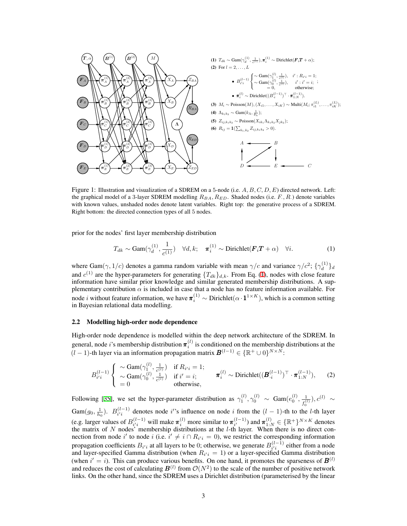

Figure 1: Illustration and visualization of a SDREM on a 5-node (i.e.  $A, B, C, D, E$ ) directed network. Left: with known values, unshaded nodes denote latent variables. Right top: the generative process of a SDREM. the graphical model of a 3-layer SDREM modelling *RBA, RED*. Shaded nodes (i.e. *F·, R·*) denote variables Right bottom: the directed connection types of all 5 nodes.

prior for the nodes' first layer membership distribution

$$
T_{dk} \sim \text{Gam}(\gamma_d^{(1)}, \frac{1}{c^{(1)}}) \quad \forall d, k; \quad \pi_i^{(1)} \sim \text{Dirichlet}(\boldsymbol{F}_i \boldsymbol{T} + \alpha) \quad \forall i. \tag{1}
$$

where Gam $(\gamma, 1/c)$  denotes a gamma random variable with mean  $\gamma/c$  and variance  $\gamma/c^2$ ;  $\{\gamma_d^{(1)}\}$  $\left\{ \frac{1}{d} \right\}$ *d* and  $c^{(1)}$  are the hyper-parameters for generating  ${T_{dk}}_{d,k}$ . From Eq. (1), nodes with close feature information have similar prior knowledge and similar generated membership distributions. A supplementary contribution  $\alpha$  is included in case that a node has no feature information available. For node *i* without feature information, we have  $\pi_i^{(1)} \sim$  Dirichlet $(\alpha \cdot \mathbf{1}^{1 \times K})$ , which is a common setting in Bayesian relational data modelling.

#### 2.2 Modelling high-order node dependence

 $\sqrt{\ }$ 

High-order node dependence is modelled within the deep network architecture of the SDREM. In general, node *i*'s membership distribution  $\pi_i^{(l)}$  is conditioned on the membership distributions at the  $(l-1)$ -th layer via an information propagation matrix  $B^{(l-1)} \in \{\mathbb{R}^+ \cup 0\}^{N \times N}$ :

$$
B_{i'i}^{(l-1)}\n\begin{cases}\n\sim \text{Gam}(\gamma_1^{(l)}, \frac{1}{c^{(l)}}) & \text{if } R_{i'i} = 1; \\
\sim \text{Gam}(\gamma_0^{(l)}, \frac{1}{c^{(l)}}) & \text{if } i' = i; \\
= 0 & \text{otherwise,}\n\end{cases}\n\qquad\n\pi_i^{(l)} \sim \text{Dirichlet}((\boldsymbol{B}_{\cdot i}^{(l-1)})^\top \cdot \boldsymbol{\pi}_{1:N}^{(l-1)}),\n\qquad (2)
$$

Following [35], we set the hyper-parameter distribution as  $\gamma_1^{(l)}$ ,  $\gamma_0^{(l)} \sim \text{Gam}(e_0^{(l)}, \frac{1}{e_0^{(l)}})$  $\frac{1}{f_0^{(l)}}$ ),  $c^{(l)}$  ∼ Gam( $g_0$ ,  $\frac{1}{h_0}$ ).  $B_{i'i}^{(l-1)}$  denotes node *i*'s influence on node *i* from the  $(l-1)$ -th to the *l*-th layer (e.g. larger values of  $B_{i'i}^{(l-1)}$  will make  $\pi_i^{(l)}$  more similar to  $\pi_{i'}^{(l-1)}$ ) and  $\pi_{1:N}^{(l)} \in {\mathbb{R}^+}^{N \times K}$  denotes the matrix of *N* nodes' membership distributions at the *l*-th layer. When there is no direct connection from node *i*' to node *i* (i.e.  $i' \neq i \cap R_{i'i} = 0$ ), we restrict the corresponding information propagation coefficients  $B_{i'i}$  at all layers to be 0; otherwise, we generate  $B_{i'i}^{(l-1)}$  either from a node and layer-specified Gamma distribution (when  $R_{i'i} = 1$ ) or a layer-specified Gamma distribution (when  $i' = i$ ). This can produce various benefits. On one hand, it promotes the sparseness of  $\mathbf{B}^{(l)}$ and reduces the cost of calculating  $\mathcal{B}^{(l)}$  from  $\mathcal{O}(N^2)$  to the scale of the number of positive network links. On the other hand, since the SDREM uses a Dirichlet distribution (parameterised by the linear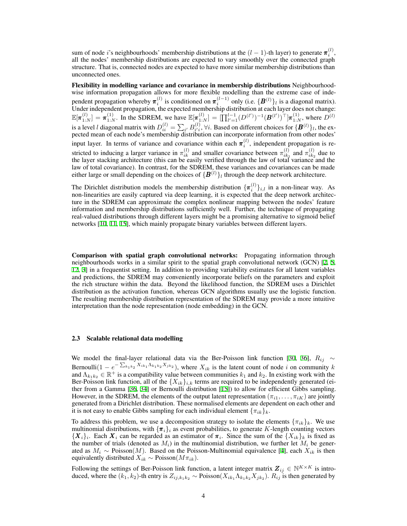sum of node *i*'s neighbourhoods' membership distributions at the  $(l-1)$ -th layer) to generate  $\pi_i^{(l)}$ , all the nodes' membership distributions are expected to vary smoothly over the connected graph structure. That is, connected nodes are expected to have more similar membership distributions than unconnected ones.

Flexibility in modelling variance and covariance in membership distributions Neighbourhoodwise information propagation allows for more flexible modelling than the extreme case of independent propagation whereby  $\pi_i^{(l)}$  is conditioned on  $\pi_i^{(l-1)}$  only (i.e.  $\{B^{(l)}\}_l$  is a diagonal matrix). Under independent propagation, the expected membership distribution at each layer does not change:  $\mathbb{E}[\pi_{1:N}^{(l)}] = \pi_{1:N}^{(1)}$ . In the SDREM, we have  $\mathbb{E}[\pi_{1:N}^{(l)}] = [\prod_{l'=1}^{l-1} (D^{(l')})^{-1} (\mathbf{B}^{(l')})^{\top}] \pi_{1:N}^{(1)}$ , where  $D^{(l)}$ is a level *l* diagonal matrix with  $D_{ii}^{(l)} = \sum_{i'} B_{i'i}^{(l)}$ *i*<sup>*i*</sup></sup>,  $\forall i$ . Based on different choices for  $\{B^{(l)}\}_l$ , the expected mean of each node's membership distribution can incorporate information from other nodes' input layer. In terms of variance and covariance within each  $\pi_i^{(l)}$ , independent propagation is restricted to inducing a larger variance in  $\pi_{ik}^{(l)}$  and smaller covariance between  $\pi_{ik}^{(l)}$  $\binom{(l)}{ik_1}$  and  $\pi^{(l)}_{ik_2}$  $\frac{1}{i k_2}$  due to the layer stacking architecture (this can be easily verified through the law of total variance and the law of total covariance). In contrast, for the SDREM, these variances and covariances can be made either large or small depending on the choices of  $\{\boldsymbol{B}^{(l)}\}_l$  through the deep network architecture.

The Dirichlet distribution models the membership distribution  $\{\pi_i^{(l)}\}_{i,l}$  in a non-linear way. As non-linearities are easily captured via deep learning, it is expected that the deep network architecture in the SDREM can approximate the complex nonlinear mapping between the nodes' feature information and membership distributions sufficiently well. Further, the technique of propagating real-valued distributions through different layers might be a promising alternative to sigmoid belief networks [10, 11, 15], which mainly propagate binary variables between different layers.

Comparison with spatial graph convolutional networks: Propagating information through neighbourhoods works in a similar spirit to the spatial graph convolutional network (GCN) [2, 5, 12, 3] in a frequentist setting. In addition to providing variability estimates for all latent variables and predictions, the SDREM may conveniently incorporate beliefs on the parameters and exploit the rich structure within the data. Beyond the likelihood function, the SDREM uses a Dirichlet distribution as the activation function, whereas GCN algorithms usually use the logistic function. The resulting membership distribution representation of the SDREM may provide a more intuitive interpretation than the node representation (node embedding) in the GCN.

#### 2.3 Scalable relational data modelling

We model the final-layer relational data via the Ber-Poisson link function [30, 36], *Rij ∼* Bernoulli $(1 - e^{-\sum_{k_1k_2} X_{ik_1} \Lambda_{k_1k_2} X_{jk_2}})$ , where  $X_{ik}$  is the latent count of node *i* on community *k* and  $\Lambda_{k_1k_2} \in \mathbb{R}^+$  is a compatibility value between communities  $k_1$  and  $k_2$ . In existing work with the Ber-Poisson link function, all of the  ${X_{ik}}_{i,k}$  terms are required to be independently generated (either from a Gamma [36, 34] or Bernoulli distribution [15]) to allow for efficient Gibbs sampling. However, in the SDREM, the elements of the output latent representation  $(\pi_{i1}, \dots, \pi_{iK})$  are jointly generated from a Dirichlet distribution. These normalised elements are dependent on each other and it is not easy to enable Gibbs sampling for each individual element  $\{\pi_{ik}\}_k$ .

To address this problem, we use a decomposition strategy to isolate the elements  $\{\pi_{ik}\}_k$ . We use multinomial distributions, with  $\{\pi_i\}_i$  as event probabilities, to generate *K*-length counting vectors  ${X_i}_i$ . Each  $X_i$  can be regarded as an estimator of  $\pi_i$ . Since the sum of the  ${X_{ik}}_k$  is fixed as the number of trials (denoted as  $M_i$ ) in the multinomial distribution, we further let  $M_i$  be generated as  $M_i \sim \text{Poisson}(M)$ . Based on the Poisson-Multinomial equivalence [4], each  $X_{ik}$  is then equivalently distributed  $X_{ik} \sim \text{Poisson}(M\pi_{ik}).$ 

Following the settings of Ber-Poisson link function, a latent integer matrix  $\mathbf{Z}_{ij} \in \mathbb{N}^{K \times K}$  is introduced, where the  $(k_1, k_2)$ -th entry is  $Z_{ij,k_1k_2} \sim \text{Poisson}(X_{ik_1} \Lambda_{k_1k_2} X_{jk_2})$ .  $R_{ij}$  is then generated by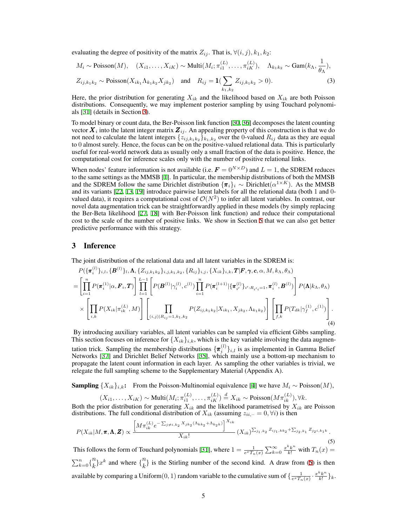evaluating the degree of positivity of the matrix  $Z_{ij}$ . That is,  $\forall (i, j), k_1, k_2$ :

$$
M_i \sim \text{Poisson}(M), \quad (X_{i1}, \dots, X_{iK}) \sim \text{Multi}(M_i; \pi_{i1}^{(L)}, \dots, \pi_{iK}^{(L)}), \quad \Lambda_{k_1 k_2} \sim \text{Gam}(k_\Lambda, \frac{1}{\theta_\Lambda}),
$$
  

$$
Z_{ij,k_1 k_2} \sim \text{Poisson}(X_{ik_1} \Lambda_{k_1 k_2} X_{jk_2}) \quad \text{and} \quad R_{ij} = \mathbf{1}(\sum_{k_1, k_2} Z_{ij,k_1 k_2} > 0).
$$
 (3)

Here, the prior distribution for generating  $X_{ik}$  and the likelihood based on  $X_{ik}$  are both Poisson distributions. Consequently, we may implement posterior sampling by using Touchard polynomials [31] (details in Section 3).

To model binary or count data, the Ber-Poisson link function [30, 36] decomposes the latent counting vector  $X_i$  into the latent integer matrix  $Z_{ij}$ . An appealing property of this construction is that we do not need to calculate the latent integers  $\{z_{ij,k_1,k_2}\}_{k_1,k_2}$  over the 0-valued  $R_{ij}$  data as they are equal to 0 almost surely. Hence, the focus can be on the positive-valued relational data. This is particularly useful for real-world network data as usually only a small fraction of the data is positive. Hence, the computational cost for inference scales only with the number of positive relational links.

When nodes' feature information is not available (i.e.  $\mathbf{F} = 0^{N \times D}$ ) and  $L = 1$ , the SDREM reduces to the same settings as the MMSB [1]. In particular, the membership distributions of both the MMSB and the SDREM follow the same Dirichlet distribution  ${\{\pi_i\}}_i \sim \text{Dirichlet}(\alpha^{1 \times K})$ . As the MMSB and its variants [22, 13, 19] introduce pairwise latent labels for all the relational data (both 1 and 0 valued data), it requires a computational cost of  $\mathcal{O}(N^2)$  to infer all latent variables. In contrast, our novel data augmentation trick can be straightforwardly applied in these models (by simply replacing the Ber-Beta likelihood [27, 18] with Ber-Poisson link function) and reduce their computational cost to the scale of the number of positive links. We show in Section 5 that we can also get better predictive performance with this strategy.

## 3 Inference

The joint distribution of the relational data and all latent variables in the SDREM is:

$$
P(\{\pi_{i}^{(l)}\}_{i,l}, \{\boldsymbol{B}^{(l)}\}_{l}, \Lambda, \{Z_{ij,k_{1}k_{2}}\}_{i,j,k_{1},k_{2}}, \{R_{ij}\}_{i,j}, \{X_{ik}\}_{i,k}, \boldsymbol{T} | \boldsymbol{F}, \boldsymbol{\gamma}, \boldsymbol{c}, \alpha, M, k_{\Lambda}, \theta_{\Lambda})
$$
\n
$$
= \left[\prod_{i=1}^{n} P(\pi_{i}^{(1)} | \alpha, \boldsymbol{F}_{i}, \boldsymbol{T}) \right] \prod_{l=1}^{L-1} \left[ P(\boldsymbol{B}^{(l)} | \gamma_{i}^{(l)}, c^{(l)}) \prod_{i=1}^{n} P(\pi_{i}^{(l+1)} | \{\pi_{i'}^{(l)}\}_{i' : R_{i'i} = 1}, \pi_{i}^{(l)}, \boldsymbol{B}^{(l)}) \right] P(\boldsymbol{\Lambda} | k_{\Lambda}, \theta_{\Lambda})
$$
\n
$$
\times \left[ \prod_{i,k} P(X_{ik} | \pi_{ik}^{(L)}, M) \right] \left[ \prod_{(i,j) | R_{ij} = 1, k_{1}, k_{2}} P(Z_{ij,k_{1}k_{2}} | X_{ik_{1}}, X_{jk_{2}}, \Lambda_{k_{1}k_{2}}) \right] \left[ \prod_{j,k} P(T_{dk} | \gamma_{j}^{(1)}, c^{(1)}) \right].
$$
\n(4)

By introducing auxiliary variables, all latent variables can be sampled via efficient Gibbs sampling. This section focuses on inference for  ${X_{ik}}_{i,k}$ , which is the key variable involving the data augmentation trick. Sampling the membership distributions  $\{\boldsymbol{\pi}_{i}^{(l)}\}_{i,l}$  is as implemented in Gamma Belief Networks [37] and Dirichlet Belief Networks [35], which mainly use a bottom-up mechanism to propagate the latent count information in each layer. As sampling the other variables is trivial, we relegate the full sampling scheme to the Supplementary Material (Appendix A).

**Sampling**  ${X_{ik}}$ <sup>*i*</sup>,*k*: From the Poisson-Multinomial equivalence [4] we have  $M$ <sup>*i*</sup> ∼ Poisson(*M*),

$$
(X_{i1},...,X_{iK}) \sim \text{Multi}(M_i; \pi_{i1}^{(L)},..., \pi_{iK}^{(L)}) \stackrel{d}{=} X_{ik} \sim \text{Poisson}(M\pi_{ik}^{(L)}), \forall k.
$$
  
rior distribution for generating  $Y_{i1}$  and the likelihood parametrised by  $Y_{i1}$  are

Both the prior distribution for generating  $X_{ik}$  and the likelihood parametrised by  $X_{ik}$  are Poisson distributions. The full conditional distribution of  $X_{ik}$  (assuming  $z_{ii}$ , $\ldots = 0$ ,  $\forall i$ ) is then

$$
P(X_{ik}|M,\boldsymbol{\pi},\boldsymbol{\Lambda},\boldsymbol{Z}) \propto \frac{\left[M\pi_{ik}^{(L)}e^{-\sum_{j\neq i,k_2}X_{jk_2}(\Lambda_{kk_2}+\Lambda_{k_2k})}\right]^{X_{ik}}}{X_{ik}!} (X_{ik})^{\sum_{j_1,k_2}Z_{ij_1,kk_2}+\sum_{j_2,k_1}Z_{ij_2i,k_1k}}.
$$
\n(5)

This follows the form of Touchard polynomials [31], where  $1 = \frac{1}{e^x T_n(x)} \sum_{k=0}^{\infty} \frac{x^k k^n}{k!}$  with  $T_n(x) =$  $\sum_{k=0}^{n}$ { $\binom{n}{k}$  $\binom{n}{k}$  *x*<sup>*k*</sup> and where  $\binom{n}{k}$  $k \choose k$  is the Stirling number of the second kind. A draw from (5) is then available by comparing a Uniform $(0, 1)$  random variable to the cumulative sum of  $\frac{1}{e^x T_n(x)} \cdot \frac{x^k k^n}{k!}$  $\frac{k^{n}}{k!}$ }<sub>*k*</sub>.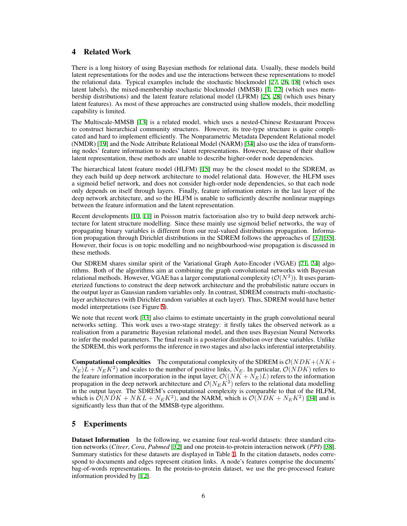# 4 Related Work

There is a long history of using Bayesian methods for relational data. Usually, these models build latent representations for the nodes and use the interactions between these representations to model the relational data. Typical examples include the stochastic blockmodel [27, 26, 18] (which uses latent labels), the mixed-membership stochastic blockmodel (MMSB) [1, 22] (which uses membership distributions) and the latent feature relational model (LFRM) [25, 28] (which uses binary latent features). As most of these approaches are constructed using shallow models, their modelling capability is limited.

The Multiscale-MMSB [13] is a related model, which uses a nested-Chinese Restaurant Process to construct hierarchical community structures. However, its tree-type structure is quite complicated and hard to implement efficiently. The Nonparametric Metadata Dependent Relational model (NMDR) [19] and the Node Attribute Relational Model (NARM) [34] also use the idea of transforming nodes' feature information to nodes' latent representations. However, because of their shallow latent representation, these methods are unable to describe higher-order node dependencies.

The hierarchical latent feature model (HLFM) [15] may be the closest model to the SDREM, as they each build up deep network architecture to model relational data. However, the HLFM uses a sigmoid belief network, and does not consider high-order node dependencies, so that each node only depends on itself through layers. Finally, feature information enters in the last layer of the deep network architecture, and so the HLFM is unable to sufficiently describe nonlinear mappings between the feature information and the latent representation.

Recent developments [10, 11] in Poisson matrix factorisation also try to build deep network architecture for latent structure modelling. Since these mainly use sigmoid belief networks, the way of propagating binary variables is different from our real-valued distributions propagation. Information propagation through Dirichlet distributions in the SDREM follows the approaches of [37][35]. However, their focus is on topic modelling and no neighbourhood-wise propagation is discussed in these methods.

Our SDREM shares similar spirit of the Variational Graph Auto-Encoder (VGAE) [21, 24] algorithms. Both of the algorithms aim at combining the graph convolutional networks with Bayesian relational methods. However, VGAE has a larger computational complexity  $(\mathcal{O}(N^2))$ . It uses parameterized functions to construct the deep network architecture and the probabilistic nature occurs in the output layer as Gaussian random variables only. In contrast, SDREM constructs multi-stochasticlayer architectures (with Dirichlet random variables at each layer). Thus, SDREM would have better model interpretations (see Figure 5).

We note that recent work [33] also claims to estimate uncertainty in the graph convolutional neural networks setting. This work uses a two-stage strategy: it firstly takes the observed network as a realisation from a parametric Bayesian relational model, and then uses Bayesian Neural Networks to infer the model parameters. The final result is a posterior distribution over these variables. Unlike the SDREM, this work performs the inference in two stages and also lacks inferential interpretability.

**Computational complexities** The computational complexity of the SDREM is  $\mathcal{O}(NDK + (NK +$  $(N_E)\bar{L} + N_E K^2$  and scales to the number of positive links,  $N_E$ . In particular,  $\mathcal{O}(NDK)$  refers to the feature information incorporation in the input layer,  $\mathcal{O}((NK + \tilde{N_E})L)$  refers to the information propagation in the deep network architecture and  $\mathcal{O}(N_E K^2)$  refers to the relational data modelling in the output layer. The SDREM's computational complexity is comparable to that of the HLFM, which is  $\mathcal{O}(NDK + NKL + N_EK^2)$ , and the NARM, which is  $\mathcal{O}(NDK + N_EK^2)$  [34] and is significantly less than that of the MMSB-type algorithms.

# 5 Experiments

Dataset Information In the following, we examine four real-world datasets: three standard citation networks (*Citeer*, *Cora*, *Pubmed* [32] and one protein-to-protein interaction network (*PPI*) [38]. Summary statistics for these datasets are displayed in Table 1. In the citation datasets, nodes correspond to documents and edges represent citation links. A node's features comprise the documents' bag-of-words representations. In the protein-to-protein dataset, we use the pre-processed feature information provided by [12].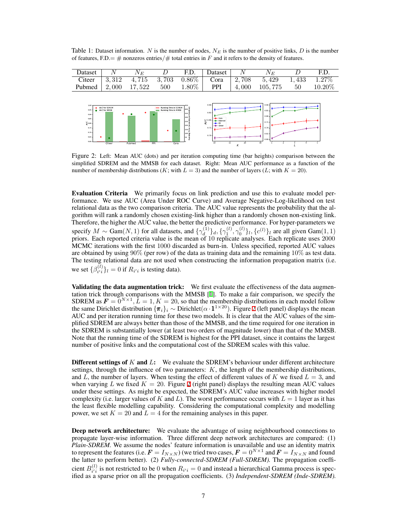Table 1: Dataset information. *N* is the number of nodes, *N<sup>E</sup>* is the number of positive links, *D* is the number of features,  $F.D. = #$  nonzeros entries/ $#$  total entries in *F* and it refers to the density of features.



Figure 2: Left: Mean AUC (dots) and per iteration computing time (bar heights) comparison between the simplified SDREM and the MMSB for each dataset. Right: Mean AUC performance as a function of the number of membership distributions (*K*; with  $L = 3$ ) and the number of layers (*L*; with  $K = 20$ ).

Evaluation Criteria We primarily focus on link prediction and use this to evaluate model performance. We use AUC (Area Under ROC Curve) and Average Negative-Log-likelihood on test relational data as the two comparison criteria. The AUC value represents the probability that the algorithm will rank a randomly chosen existing-link higher than a randomly chosen non-existing link. Therefore, the higher the AUC value, the better the predictive performance. For hyper-parameters we specify  $M \sim \text{Gam}(N, 1)$  for all datasets, and  $\{\gamma_d^{(1)}\}$  $\{a^{(1)}_d\}_d$ ,  $\{\gamma_1^{(l)}, \gamma_0^{(l)}\}_l$ ,  $\{c^{(l)}\}_l$  are all given Gam $(1, 1)$ priors. Each reported criteria value is the mean of 10 replicate analyses. Each replicate uses 2000 MCMC iterations with the first 1000 discarded as burn-in. Unless specified, reported AUC values are obtained by using  $90\%$  (per row) of the data as training data and the remaining  $10\%$  as test data. The testing relational data are not used when constructing the information propagation matrix (i.e. we set  $\{\beta_{i'i}^{(l)}\}$  $\int_{i'i}^{(l)}\left\{l\right\}l = 0$  if  $R_{i'i}$  is testing data).

Validating the data augmentation trick: We first evaluate the effectiveness of the data augmentation trick through comparisons with the MMSB [1]. To make a fair comparison, we specify the SDREM as  $\mathbf{F} = \overline{0}^{N \times 1}$ ,  $\overline{L} = 1$ ,  $K = 20$ , so that the membership distributions in each model follow the same Dirichlet distribution  $\{\pi_i\}_i \sim \text{Dirichlet}(\alpha \cdot 1^{1 \times 20})$ . Figure 2 (left panel) displays the mean AUC and per iteration running time for these two models. It is clear that the AUC values of the simplified SDREM are always better than those of the MMSB, and the time required for one iteration in the SDREM is substantially lower (at least two orders of magnitude lower) than that of the MMSB. Note that the running time of the SDREM is highest for the PPI dataset, since it contains the largest number of positive links and the computational cost of the SDREM scales with this value.

Different settings of *K* and *L*: We evaluate the SDREM's behaviour under different architecture settings, through the influence of two parameters: *K*, the length of the membership distributions, and L, the number of layers. When testing the effect of different values of K we fixed  $L = 3$ , and when varying *L* we fixed  $K = 20$ . Figure 2 (right panel) displays the resulting mean AUC values under these settings. As might be expected, the SDREM's AUC value increases with higher model complexity (i.e. larger values of  $K$  and  $L$ ). The worst performance occurs with  $L = 1$  layer as it has the least flexible modelling capability. Considering the computational complexity and modelling power, we set  $K = 20$  and  $L = 4$  for the remaining analyses in this paper.

**Deep network architecture:** We evaluate the advantage of using neighbourhood connections to propagate layer-wise information. Three different deep network architectures are compared: (1) *Plain-SDREM.* We assume the nodes' feature information is unavailable and use an identity matrix to represent the features (i.e.  $\mathbf{F} = I_{N \times N}$ ) (we tried two cases,  $\mathbf{F} = 0^{N \times 1}$  and  $\mathbf{F} = I_{N \times N}$  and found the latter to perform better). (2) *Fully-connected-SDREM (Full-SDREM)*. The propagation coefficient  $B_{i'i}^{(l)}$  $i'$ <sup>*i*</sup></sup> is not restricted to be 0 when  $R$ <sup>*i*</sup><sup>*i*</sup> = 0 and instead a hierarchical Gamma process is specified as a sparse prior on all the propagation coefficients. (3) *Independent-SDREM (Inde-SDREM).*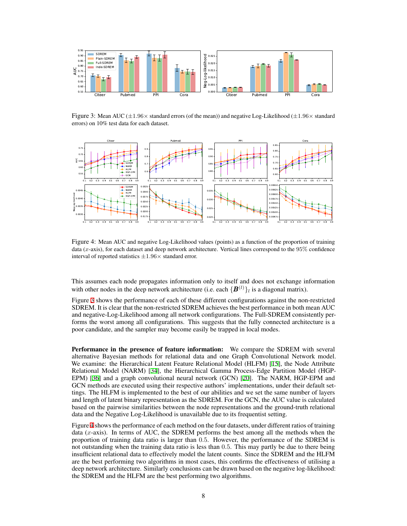

Figure 3: Mean AUC (*±*1*.*96*×* standard errors (of the mean)) and negative Log-Likelihood (*±*1*.*96*×* standard errors) on 10% test data for each dataset.



Figure 4: Mean AUC and negative Log-Likelihood values (points) as a function of the proportion of training data (*x*-axis), for each dataset and deep network architecture. Vertical lines correspond to the 95% confidence interval of reported statistics *±*1*.*96*×* standard error.

This assumes each node propagates information only to itself and does not exchange information with other nodes in the deep network architecture (i.e. each  $\{B^{(l)}\}_l$  is a diagonal matrix).

Figure 3 shows the performance of each of these different configurations against the non-restricted SDREM. It is clear that the non-restricted SDREM achieves the best performance in both mean AUC and negative-Log-Likelihood among all network configurations. The Full-SDREM consistently performs the worst among all configurations. This suggests that the fully connected architecture is a poor candidate, and the sampler may become easily be trapped in local modes.

Performance in the presence of feature information: We compare the SDREM with several alternative Bayesian methods for relational data and one Graph Convolutional Network model. We examine: the Hierarchical Latent Feature Relational Model (HLFM) [15], the Node Attribute Relational Model (NARM) [34], the Hierarchical Gamma Process-Edge Partition Model (HGP-EPM) [36] and a graph convolutional neural network (GCN) [20]. The NARM, HGP-EPM and GCN methods are executed using their respective authors' implementations, under their default settings. The HLFM is implemented to the best of our abilities and we set the same number of layers and length of latent binary representation as the SDREM. For the GCN, the AUC value is calculated based on the pairwise similarities between the node representations and the ground-truth relational data and the Negative Log-Likelihood is unavailable due to its frequentist setting.

Figure 4 shows the performance of each method on the four datasets, under different ratios of training data (*x*-axis). In terms of AUC, the SDREM performs the best among all the methods when the proportion of training data ratio is larger than 0*.*5. However, the performance of the SDREM is not outstanding when the training data ratio is less than 0*.*5. This may partly be due to there being insufficient relational data to effectively model the latent counts. Since the SDREM and the HLFM are the best performing two algorithms in most cases, this confirms the effectiveness of utilising a deep network architecture. Similarly conclusions can be drawn based on the negative log-likelihood: the SDREM and the HLFM are the best performing two algorithms.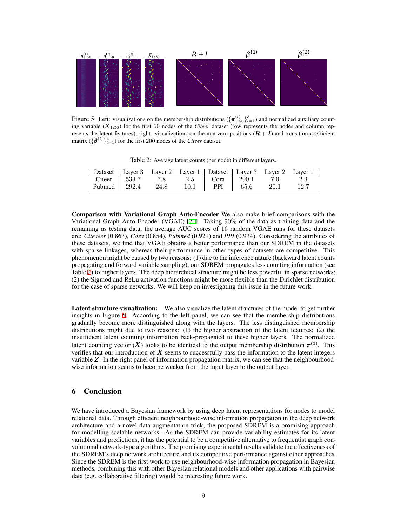

Figure 5: Left: visualizations on the membership distributions  $(\{\pi_{1:50}^{(l)}\}_{l=1}^3)$  and normalized auxiliary counting variable  $(\bar{X}_{1:50})$  for the first 50 nodes of the *Citeer* dataset (row represents the nodes and column represents the latent features); right: visualizations on the non-zero positions  $(R + I)$  and transition coefficient matrix  $(\{\boldsymbol{\beta}^{(l)}\}_{l=1}^2)$  for the first 200 nodes of the *Citeer* dataset.

Table 2: Average latent counts (per node) in different layers.

| Dataset |       |      |      |      |       |      |     |
|---------|-------|------|------|------|-------|------|-----|
| Citeer  | 533.7 |      |      | Cora | 290.1 |      | 2.3 |
| Pubmed  | 292.4 | 24.8 | 10.1 | PPI  | 65.6  | 20.1 |     |

Comparison with Variational Graph Auto-Encoder We also make brief comparisons with the Variational Graph Auto-Encoder (VGAE) [21]. Taking 90% of the data as training data and the remaining as testing data, the average AUC scores of 16 random VGAE runs for these datasets are: *Citeseer* (0.863), *Cora* (0.854), *Pubmed* (0.921) and *PPI* (0.934). Considering the attributes of these datasets, we find that VGAE obtains a better performance than our SDREM in the datasets with sparse linkages, whereas their performance in other types of datasets are competitive. This phenomenon might be caused by two reasons: (1) due to the inference nature (backward latent counts propagating and forward variable sampling), our SDREM propagates less counting information (see Table 2) to higher layers. The deep hierarchical structure might be less powerful in sparse networks; (2) the Sigmod and ReLu activation functions might be more flexible than the Dirichlet distribution for the case of sparse networks. We will keep on investigating this issue in the future work.

Latent structure visualization: We also visualize the latent structures of the model to get further insights in Figure 5. According to the left panel, we can see that the membership distributions gradually become more distinguished along with the layers. The less distinguished membership distributions might due to two reasons: (1) the higher abstraction of the latent features; (2) the insufficient latent counting information back-propagated to these higher layers. The normalized latent counting vector  $(X)$  looks to be identical to the output membership distribution  $\pi$ <sup>(3)</sup>. This verifies that our introduction of  $\boldsymbol{X}$  seems to successfully pass the information to the latent integers variable Z. In the right panel of information propagation matrix, we can see that the neighbourhoodwise information seems to become weaker from the input layer to the output layer.

# 6 Conclusion

We have introduced a Bayesian framework by using deep latent representations for nodes to model relational data. Through efficient neighbourhood-wise information propagation in the deep network architecture and a novel data augmentation trick, the proposed SDREM is a promising approach for modelling scalable networks. As the SDREM can provide variability estimates for its latent variables and predictions, it has the potential to be a competitive alternative to frequentist graph convolutional network-type algorithms. The promising experimental results validate the effectiveness of the SDREM's deep network architecture and its competitive performance against other approaches. Since the SDREM is the first work to use neighbourhood-wise information propagation in Bayesian methods, combining this with other Bayesian relational models and other applications with pairwise data (e.g. collaborative filtering) would be interesting future work.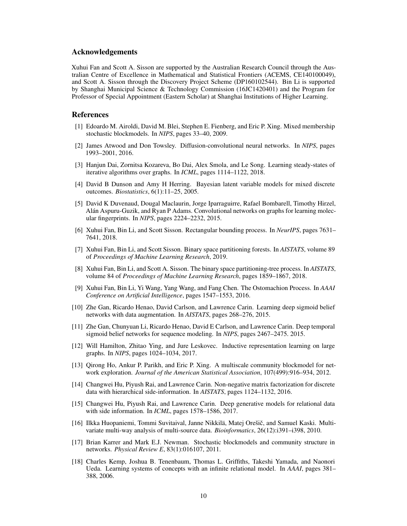## Acknowledgements

Xuhui Fan and Scott A. Sisson are supported by the Australian Research Council through the Australian Centre of Excellence in Mathematical and Statistical Frontiers (ACEMS, CE140100049), and Scott A. Sisson through the Discovery Project Scheme (DP160102544). Bin Li is supported by Shanghai Municipal Science & Technology Commission (16JC1420401) and the Program for Professor of Special Appointment (Eastern Scholar) at Shanghai Institutions of Higher Learning.

## References

- [1] Edoardo M. Airoldi, David M. Blei, Stephen E. Fienberg, and Eric P. Xing. Mixed membership stochastic blockmodels. In *NIPS*, pages 33–40, 2009.
- [2] James Atwood and Don Towsley. Diffusion-convolutional neural networks. In *NIPS*, pages 1993–2001, 2016.
- [3] Hanjun Dai, Zornitsa Kozareva, Bo Dai, Alex Smola, and Le Song. Learning steady-states of iterative algorithms over graphs. In *ICML*, pages 1114–1122, 2018.
- [4] David B Dunson and Amy H Herring. Bayesian latent variable models for mixed discrete outcomes. *Biostatistics*, 6(1):11–25, 2005.
- [5] David K Duvenaud, Dougal Maclaurin, Jorge Iparraguirre, Rafael Bombarell, Timothy Hirzel, Alán Aspuru-Guzik, and Ryan P Adams. Convolutional networks on graphs for learning molecular fingerprints. In *NIPS*, pages 2224–2232, 2015.
- [6] Xuhui Fan, Bin Li, and Scott Sisson. Rectangular bounding process. In *NeurIPS*, pages 7631– 7641, 2018.
- [7] Xuhui Fan, Bin Li, and Scott Sisson. Binary space partitioning forests. In *AISTATS*, volume 89 of *Proceedings of Machine Learning Research*, 2019.
- [8] Xuhui Fan, Bin Li, and Scott A. Sisson. The binary space partitioning-tree process. In *AISTATS*, volume 84 of *Proceedings of Machine Learning Research*, pages 1859–1867, 2018.
- [9] Xuhui Fan, Bin Li, Yi Wang, Yang Wang, and Fang Chen. The Ostomachion Process. In *AAAI Conference on Artificial Intelligence*, pages 1547–1553, 2016.
- [10] Zhe Gan, Ricardo Henao, David Carlson, and Lawrence Carin. Learning deep sigmoid belief networks with data augmentation. In *AISTATS*, pages 268–276, 2015.
- [11] Zhe Gan, Chunyuan Li, Ricardo Henao, David E Carlson, and Lawrence Carin. Deep temporal sigmoid belief networks for sequence modeling. In *NIPS*, pages 2467–2475. 2015.
- [12] Will Hamilton, Zhitao Ying, and Jure Leskovec. Inductive representation learning on large graphs. In *NIPS*, pages 1024–1034, 2017.
- [13] Qirong Ho, Ankur P. Parikh, and Eric P. Xing. A multiscale community blockmodel for network exploration. *Journal of the American Statistical Association*, 107(499):916–934, 2012.
- [14] Changwei Hu, Piyush Rai, and Lawrence Carin. Non-negative matrix factorization for discrete data with hierarchical side-information. In *AISTATS*, pages 1124–1132, 2016.
- [15] Changwei Hu, Piyush Rai, and Lawrence Carin. Deep generative models for relational data with side information. In *ICML*, pages 1578–1586, 2017.
- [16] Ilkka Huopaniemi, Tommi Suvitaival, Janne Nikkilä, Matej Orešič, and Samuel Kaski. Multivariate multi-way analysis of multi-source data. *Bioinformatics*, 26(12):i391–i398, 2010.
- [17] Brian Karrer and Mark E.J. Newman. Stochastic blockmodels and community structure in networks. *Physical Review E*, 83(1):016107, 2011.
- [18] Charles Kemp, Joshua B. Tenenbaum, Thomas L. Griffiths, Takeshi Yamada, and Naonori Ueda. Learning systems of concepts with an infinite relational model. In *AAAI*, pages 381– 388, 2006.